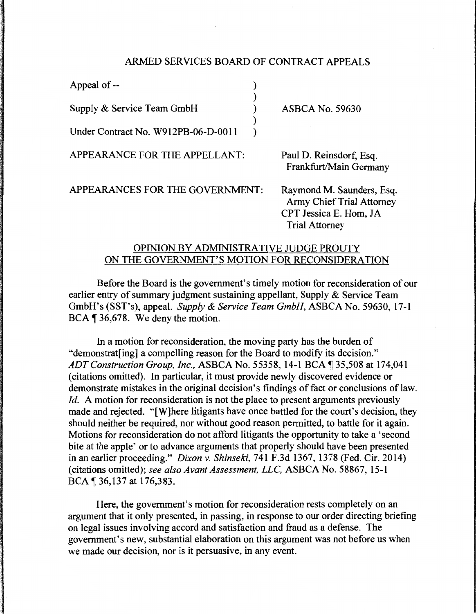## ARMED SERVICES BOARD OF CONTRACT APPEALS

| Appeal of --                        |                                                                                                                  |
|-------------------------------------|------------------------------------------------------------------------------------------------------------------|
| Supply & Service Team GmbH          | <b>ASBCA No. 59630</b>                                                                                           |
| Under Contract No. W912PB-06-D-0011 |                                                                                                                  |
| APPEARANCE FOR THE APPELLANT:       | Paul D. Reinsdorf, Esq.<br>Frankfurt/Main Germany                                                                |
| APPEARANCES FOR THE GOVERNMENT:     | Raymond M. Saunders, Esq.<br><b>Army Chief Trial Attorney</b><br>CPT Jessica E. Hom, JA<br><b>Trial Attorney</b> |

## OPINION BY ADMINISTRATIVE JUDGE PROUTY ON THE GOVERNMENT'S MOTION FOR RECONSIDERATION

Before the Board is the government's timely motion for reconsideration of our earlier entry of summary judgment sustaining appellant, Supply & Service Team GmbH's (SST's), appeal. *Supply* & *Service Team GmbH,* ASBCA No. 59630, 17-1 BCA ¶ 36,678. We deny the motion.

In a motion for reconsideration, the moving party has the burden of "demonstrat[ing] a compelling reason for the Board to modify its decision." *ADT Construction Group, Inc., ASBCA No.* 55358, 14-1 BCA 135,508 at 174,041 (citations omitted). In particular, it must provide newly discovered evidence or demonstrate mistakes in the original decision's findings of fact or conclusions of law. *Id.* A motion for reconsideration is not the place to present arguments previously made and rejected. "[W]here litigants have once battled for the court's decision, they should neither be required, nor without good reason permitted, to battle for it again. Motions for reconsideration do not afford litigants the opportunity to take a 'second bite at the apple' or to advance arguments that properly should have been presented in an earlier proceeding." *Dixon* v. *Shinseki,* 741F.3d1367, 1378 (Fed. Cir. 2014) (citations omitted); *see also Avant Assessment, LLC,* ASBCA No. 58867, 15-1 BCA | 36,137 at 176,383.

Here, the government's motion for reconsideration rests completely on an argument that it only presented, in passing, in response to our order directing briefing on legal issues involving accord and satisfaction and fraud as a defense. The government's new, substantial elaboration on this argument was not before us when we made our decision, nor is it persuasive, in any event.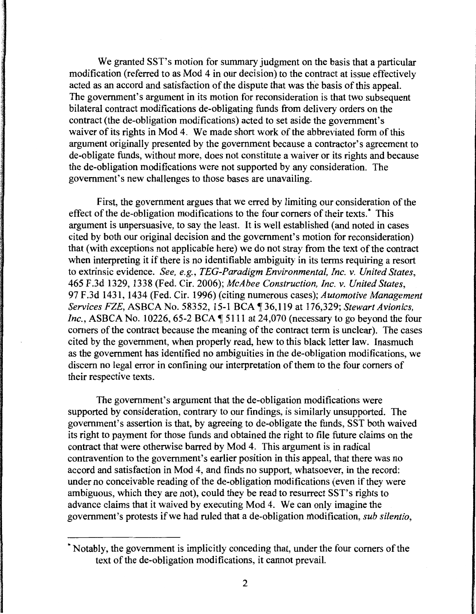We granted SST's motion for summary judgment on the basis that a particular modification (referred to as Mod 4 in our decision) to the contract at issue effectively acted as an accord and satisfaction of the dispute that was the basis of this appeal. The government's argument in its motion for reconsideration is that two subsequent bilateral contract modifications de-obligating funds from delivery orders on the contract (the de-obligation modifications) acted to set aside the government's waiver of its rights in Mod 4. We made short work of the abbreviated form of this argument originally presented by the government because a contractor's agreement to de-obligate funds, without more, does not constitute a waiver or its rights and because the de-obligation modifications were not supported by any consideration. The government's new challenges to those bases are unavailing.

First, the government argues that we erred by limiting our consideration of the effect of the de-obligation modifications to the four comers of their texts.\* This argument is unpersuasive, to say the least. It is well established (and noted in cases cited by both our original decision and the government's motion for reconsideration) that (with exceptions not applicable here) we do not stray from the text of the contract when interpreting it if there is no identifiable ambiguity in its terms requiring a resort to extrinsic evidence. *See, e.g., TEG-Paradigm Environmental, Inc. v. United States,*  465 F.3d 1329, 1338 (Fed. Cir. 2006); *McAbee Construction, Inc.* v. *United States,*  97 F.3d 1431, 1434 (Fed. Cir. 1996) (citing numerous cases); *Automotive Management Services FZE,* ASBCA No. 58352, 15-1 BCA ~ 36, 119 at 176,329; *Stewart Avionics, Inc.*, ASBCA No. 10226, 65-2 BCA  $\P$  5111 at 24,070 (necessary to go beyond the four comers of the contract because the meaning of the contract term is unclear). The cases cited by the government, when properly read, hew to this black letter law. Inasmuch as the government has identified no ambiguities in the de-obligation modifications, we discern no legal error in confining our interpretation of them to the four comers of their respective texts.

The government's argument that the de-obligation modifications were supported by consideration, contrary to our findings, is similarly unsupported. The government's assertion is that, by agreeing to de-obligate the funds, SST both waived its right to payment for those funds and obtained the right to file future claims on the contract that were otherwise barred by Mod 4. This argument is in radical contravention to the government's earlier position in this appeal, that there was no accord and satisfaction in Mod 4, and finds no support, whatsoever, in the record: under no conceivable reading of the de-obligation modifications (even if they were ambiguous, which they are not), could they be read to resurrect SST's rights to advance claims that it waived by executing Mod 4. We can only imagine the government's protests if we had ruled that a de-obligation modification, *sub silentio,* 

<sup>\*</sup>Notably, the government is implicitly conceding that, under the four comers of the text of the de-obligation modifications, it cannot prevail.